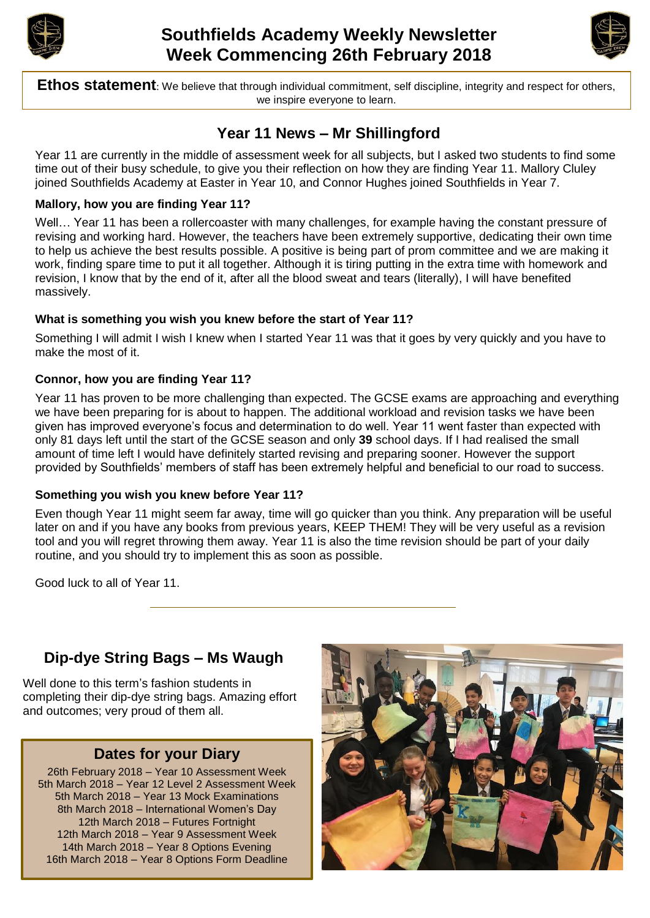



**Ethos statement**: We believe that through individual commitment, self discipline, integrity and respect for others, we inspire everyone to learn.

# **Year 11 News – Mr Shillingford**

Year 11 are currently in the middle of assessment week for all subjects, but I asked two students to find some time out of their busy schedule, to give you their reflection on how they are finding Year 11. Mallory Cluley joined Southfields Academy at Easter in Year 10, and Connor Hughes joined Southfields in Year 7.

#### **Mallory, how you are finding Year 11?**

Well... Year 11 has been a rollercoaster with many challenges, for example having the constant pressure of revising and working hard. However, the teachers have been extremely supportive, dedicating their own time to help us achieve the best results possible. A positive is being part of prom committee and we are making it work, finding spare time to put it all together. Although it is tiring putting in the extra time with homework and revision, I know that by the end of it, after all the blood sweat and tears (literally), I will have benefited massively.

## **What is something you wish you knew before the start of Year 11?**

Something I will admit I wish I knew when I started Year 11 was that it goes by very quickly and you have to make the most of it.

## **Connor, how you are finding Year 11?**

Year 11 has proven to be more challenging than expected. The GCSE exams are approaching and everything we have been preparing for is about to happen. The additional workload and revision tasks we have been given has improved everyone's focus and determination to do well. Year 11 went faster than expected with only 81 days left until the start of the GCSE season and only **39** school days. If I had realised the small amount of time left I would have definitely started revising and preparing sooner. However the support provided by Southfields' members of staff has been extremely helpful and beneficial to our road to success.

#### **Something you wish you knew before Year 11?**

Even though Year 11 might seem far away, time will go quicker than you think. Any preparation will be useful later on and if you have any books from previous years, KEEP THEM! They will be very useful as a revision tool and you will regret throwing them away. Year 11 is also the time revision should be part of your daily routine, and you should try to implement this as soon as possible.

Good luck to all of Year 11.

# **Dip-dye String Bags – Ms Waugh**

Well done to this term's fashion students in completing their dip-dye string bags. Amazing effort and outcomes; very proud of them all.

## **Dates for your Diary**

26th February 2018 – Year 10 Assessment Week 5th March 2018 – Year 12 Level 2 Assessment Week 5th March 2018 – Year 13 Mock Examinations 8th March 2018 – International Women's Day 12th March 2018 – Futures Fortnight 12th March 2018 – Year 9 Assessment Week 14th March 2018 – Year 8 Options Evening 16th March 2018 – Year 8 Options Form Deadline